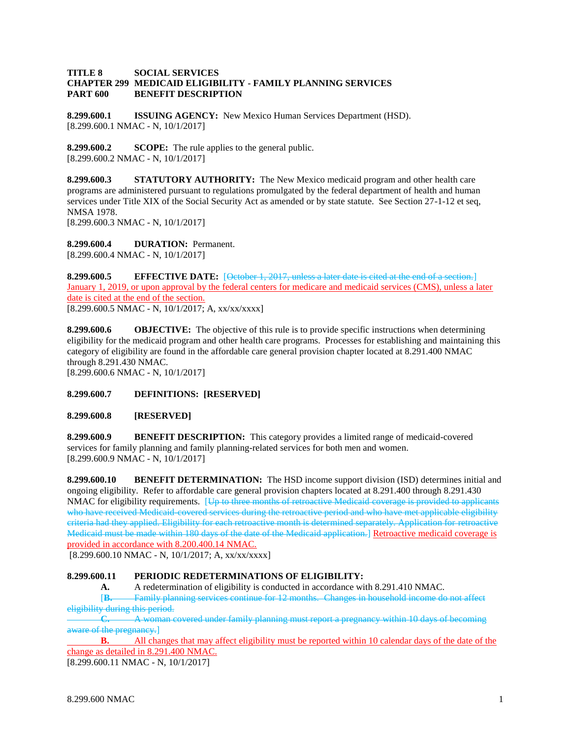## **TITLE 8 SOCIAL SERVICES CHAPTER 299 MEDICAID ELIGIBILITY - FAMILY PLANNING SERVICES PART 600 BENEFIT DESCRIPTION**

**8.299.600.1 ISSUING AGENCY:** New Mexico Human Services Department (HSD). [8.299.600.1 NMAC - N, 10/1/2017]

**8.299.600.2 SCOPE:** The rule applies to the general public. [8.299.600.2 NMAC - N, 10/1/2017]

**8.299.600.3 STATUTORY AUTHORITY:** The New Mexico medicaid program and other health care programs are administered pursuant to regulations promulgated by the federal department of health and human services under Title XIX of the Social Security Act as amended or by state statute. See Section 27-1-12 et seq, NMSA 1978.

[8.299.600.3 NMAC - N, 10/1/2017]

**8.299.600.4 DURATION:** Permanent. [8.299.600.4 NMAC - N, 10/1/2017]

**8.299.600.5 EFFECTIVE DATE:** [October 1, 2017, unless a later date is cited at the end of a section.] January 1, 2019, or upon approval by the federal centers for medicare and medicaid services (CMS), unless a later date is cited at the end of the section. [8.299.600.5 NMAC - N, 10/1/2017; A, xx/xx/xxxx]

**8.299.600.6 OBJECTIVE:** The objective of this rule is to provide specific instructions when determining eligibility for the medicaid program and other health care programs. Processes for establishing and maintaining this category of eligibility are found in the affordable care general provision chapter located at 8.291.400 NMAC through 8.291.430 NMAC.

[8.299.600.6 NMAC - N, 10/1/2017]

## **8.299.600.7 DEFINITIONS: [RESERVED]**

**8.299.600.8 [RESERVED]**

**8.299.600.9 BENEFIT DESCRIPTION:** This category provides a limited range of medicaid-covered services for family planning and family planning-related services for both men and women. [8.299.600.9 NMAC - N, 10/1/2017]

**8.299.600.10 BENEFIT DETERMINATION:** The HSD income support division (ISD) determines initial and ongoing eligibility. Refer to affordable care general provision chapters located at 8.291.400 through 8.291.430 NMAC for eligibility requirements. [Up to three months of retroactive Medicaid coverage is provided to applicants who have received Medicaid-covered services during the retroactive period and who have met applicable eligibility criteria had they applied. Eligibility for each retroactive month is determined separately. Application for retroactive Medicaid must be made within 180 days of the date of the Medicaid application.] Retroactive medicaid coverage is provided in accordance with 8.200.400.14 NMAC.

 $[8.299.600.10 NMAC - N, 10/1/2017; A, xx/xx/xxxx]$ 

## **8.299.600.11 PERIODIC REDETERMINATIONS OF ELIGIBILITY:**

**A.** A redetermination of eligibility is conducted in accordance with 8.291.410 NMAC.

[**B.** Family planning services continue for 12 months. Changes in household income do not affect eligibility during this period.

**C.** A woman covered under family planning must report a pregnancy within 10 days of becoming aware of the pregnancy.]

**B.** All changes that may affect eligibility must be reported within 10 calendar days of the date of the change as detailed in 8.291.400 NMAC.

[8.299.600.11 NMAC - N, 10/1/2017]